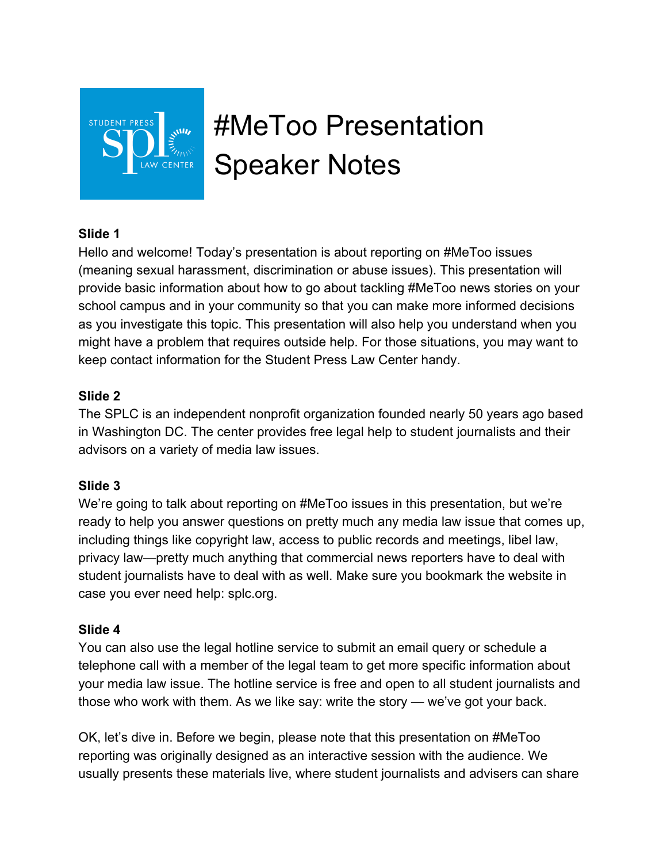

# #MeToo Presentation Speaker Notes

## **Slide 1**

Hello and welcome! Today's presentation is about reporting on #MeToo issues (meaning sexual harassment, discrimination or abuse issues). This presentation will provide basic information about how to go about tackling #MeToo news stories on your school campus and in your community so that you can make more informed decisions as you investigate this topic. This presentation will also help you understand when you might have a problem that requires outside help. For those situations, you may want to keep contact information for the Student Press Law Center handy.

## **Slide 2**

The SPLC is an independent nonprofit organization founded nearly 50 years ago based in Washington DC. The center provides free legal help to student journalists and their advisors on a variety of media law issues.

## **Slide 3**

We're going to talk about reporting on #MeToo issues in this presentation, but we're ready to help you answer questions on pretty much any media law issue that comes up, including things like copyright law, access to public records and meetings, libel law, privacy law—pretty much anything that commercial news reporters have to deal with student journalists have to deal with as well. Make sure you bookmark the website in case you ever need help: splc.org.

## **Slide 4**

You can also use the legal hotline service to submit an email query or schedule a telephone call with a member of the legal team to get more specific information about your media law issue. The hotline service is free and open to all student journalists and those who work with them. As we like say: write the story — we've got your back.

OK, let's dive in. Before we begin, please note that this presentation on #MeToo reporting was originally designed as an interactive session with the audience. We usually presents these materials live, where student journalists and advisers can share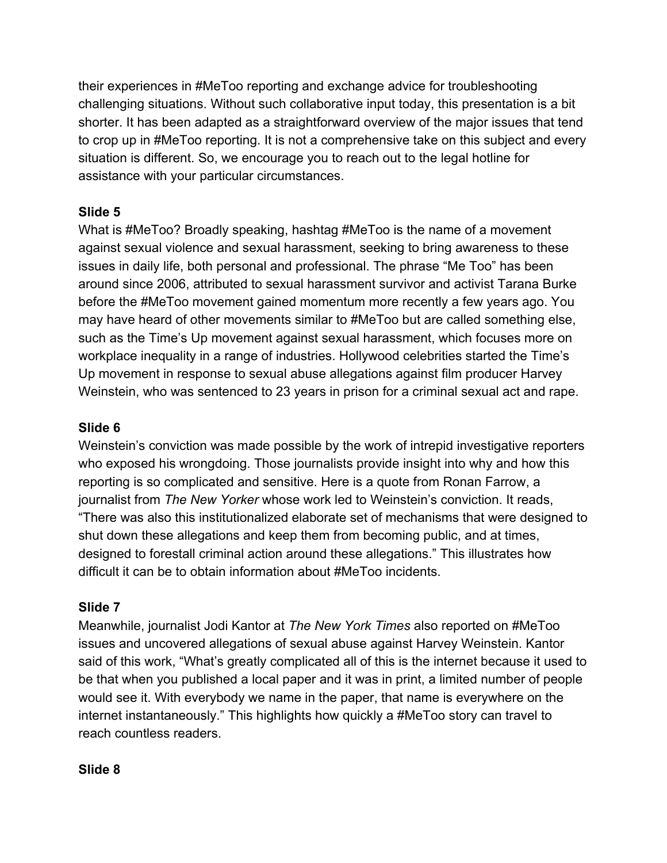their experiences in #MeToo reporting and exchange advice for troubleshooting challenging situations. Without such collaborative input today, this presentation is a bit shorter. It has been adapted as a straightforward overview of the major issues that tend to crop up in #MeToo reporting. It is not a comprehensive take on this subject and every situation is different. So, we encourage you to reach out to the legal hotline for assistance with your particular circumstances.

## **Slide 5**

What is #MeToo? Broadly speaking, hashtag #MeToo is the name of a movement against sexual violence and sexual harassment, seeking to bring awareness to these issues in daily life, both personal and professional. The phrase "Me Too" has been around since 2006, attributed to sexual harassment survivor and activist Tarana Burke before the #MeToo movement gained momentum more recently a few years ago. You may have heard of other movements similar to #MeToo but are called something else, such as the Time's Up movement against sexual harassment, which focuses more on workplace inequality in a range of industries. Hollywood celebrities started the Time's Up movement in response to sexual abuse allegations against film producer Harvey Weinstein, who was sentenced to 23 years in prison for a criminal sexual act and rape.

# **Slide 6**

Weinstein's conviction was made possible by the work of intrepid investigative reporters who exposed his wrongdoing. Those journalists provide insight into why and how this reporting is so complicated and sensitive. Here is a quote from Ronan Farrow, a journalist from *The New Yorker* whose work led to Weinstein's conviction. It reads, "There was also this institutionalized elaborate set of mechanisms that were designed to shut down these allegations and keep them from becoming public, and at times, designed to forestall criminal action around these allegations." This illustrates how difficult it can be to obtain information about #MeToo incidents.

# **Slide 7**

Meanwhile, journalist Jodi Kantor at *The New York Times* also reported on #MeToo issues and uncovered allegations of sexual abuse against Harvey Weinstein. Kantor said of this work, "What's greatly complicated all of this is the internet because it used to be that when you published a local paper and it was in print, a limited number of people would see it. With everybody we name in the paper, that name is everywhere on the internet instantaneously." This highlights how quickly a #MeToo story can travel to reach countless readers.

# **Slide 8**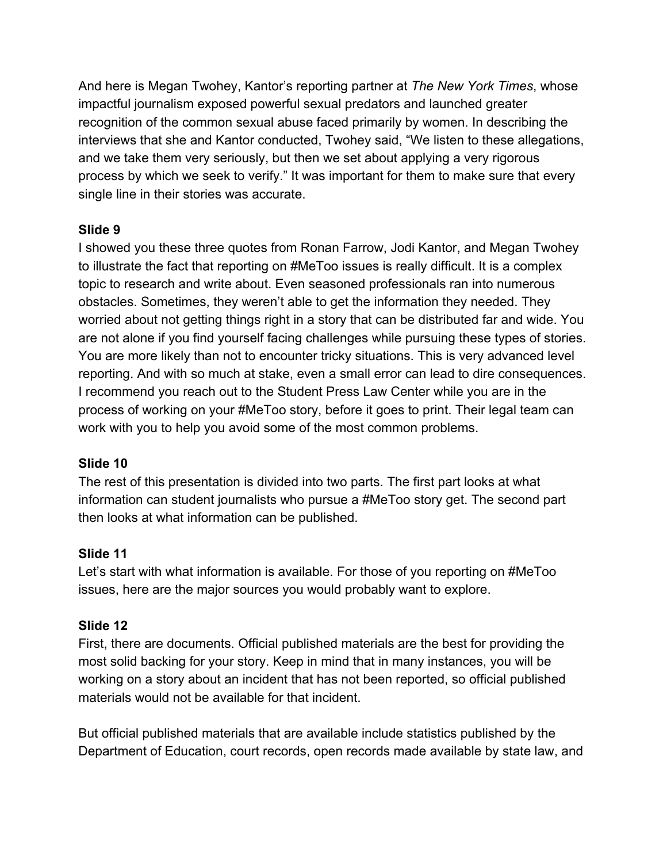And here is Megan Twohey, Kantor's reporting partner at *The New York Times*, whose impactful journalism exposed powerful sexual predators and launched greater recognition of the common sexual abuse faced primarily by women. In describing the interviews that she and Kantor conducted, Twohey said, "We listen to these allegations, and we take them very seriously, but then we set about applying a very rigorous process by which we seek to verify." It was important for them to make sure that every single line in their stories was accurate.

## **Slide 9**

I showed you these three quotes from Ronan Farrow, Jodi Kantor, and Megan Twohey to illustrate the fact that reporting on #MeToo issues is really difficult. It is a complex topic to research and write about. Even seasoned professionals ran into numerous obstacles. Sometimes, they weren't able to get the information they needed. They worried about not getting things right in a story that can be distributed far and wide. You are not alone if you find yourself facing challenges while pursuing these types of stories. You are more likely than not to encounter tricky situations. This is very advanced level reporting. And with so much at stake, even a small error can lead to dire consequences. I recommend you reach out to the Student Press Law Center while you are in the process of working on your #MeToo story, before it goes to print. Their legal team can work with you to help you avoid some of the most common problems.

# **Slide 10**

The rest of this presentation is divided into two parts. The first part looks at what information can student journalists who pursue a #MeToo story get. The second part then looks at what information can be published.

## **Slide 11**

Let's start with what information is available. For those of you reporting on #MeToo issues, here are the major sources you would probably want to explore.

## **Slide 12**

First, there are documents. Official published materials are the best for providing the most solid backing for your story. Keep in mind that in many instances, you will be working on a story about an incident that has not been reported, so official published materials would not be available for that incident.

But official published materials that are available include statistics published by the Department of Education, court records, open records made available by state law, and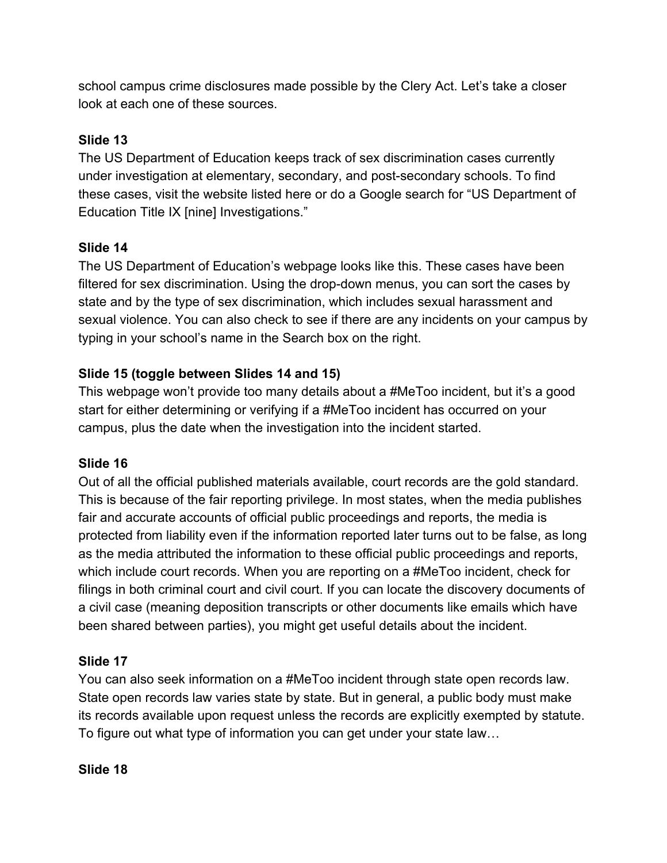school campus crime disclosures made possible by the Clery Act. Let's take a closer look at each one of these sources.

# **Slide 13**

The US Department of Education keeps track of sex discrimination cases currently under investigation at elementary, secondary, and post-secondary schools. To find these cases, visit the website listed here or do a Google search for "US Department of Education Title IX [nine] Investigations."

# **Slide 14**

The US Department of Education's webpage looks like this. These cases have been filtered for sex discrimination. Using the drop-down menus, you can sort the cases by state and by the type of sex discrimination, which includes sexual harassment and sexual violence. You can also check to see if there are any incidents on your campus by typing in your school's name in the Search box on the right.

# **Slide 15 (toggle between Slides 14 and 15)**

This webpage won't provide too many details about a #MeToo incident, but it's a good start for either determining or verifying if a #MeToo incident has occurred on your campus, plus the date when the investigation into the incident started.

# **Slide 16**

Out of all the official published materials available, court records are the gold standard. This is because of the fair reporting privilege. In most states, when the media publishes fair and accurate accounts of official public proceedings and reports, the media is protected from liability even if the information reported later turns out to be false, as long as the media attributed the information to these official public proceedings and reports, which include court records. When you are reporting on a #MeToo incident, check for filings in both criminal court and civil court. If you can locate the discovery documents of a civil case (meaning deposition transcripts or other documents like emails which have been shared between parties), you might get useful details about the incident.

# **Slide 17**

You can also seek information on a #MeToo incident through state open records law. State open records law varies state by state. But in general, a public body must make its records available upon request unless the records are explicitly exempted by statute. To figure out what type of information you can get under your state law…

**Slide 18**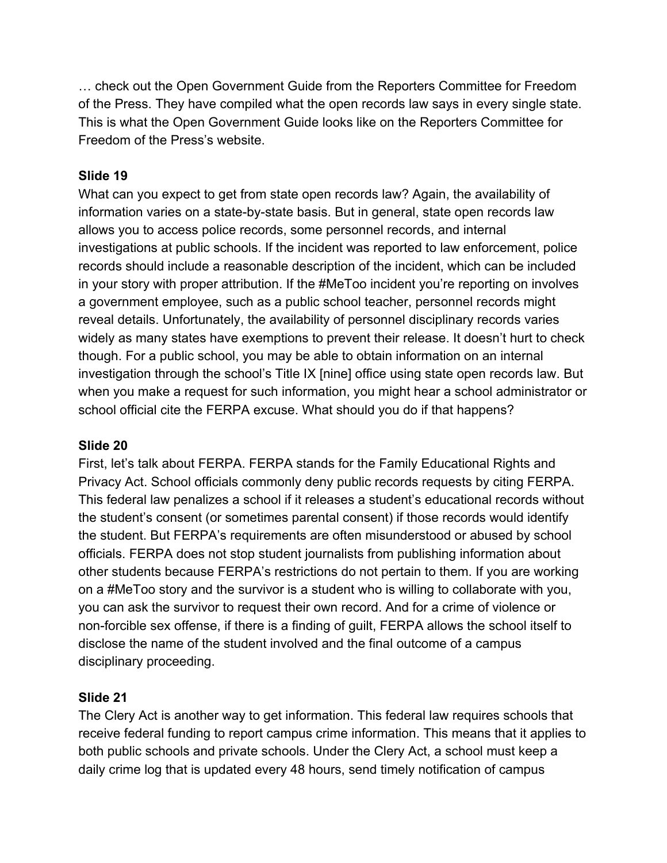… check out the Open Government Guide from the Reporters Committee for Freedom of the Press. They have compiled what the open records law says in every single state. This is what the Open Government Guide looks like on the Reporters Committee for Freedom of the Press's website.

## **Slide 19**

What can you expect to get from state open records law? Again, the availability of information varies on a state-by-state basis. But in general, state open records law allows you to access police records, some personnel records, and internal investigations at public schools. If the incident was reported to law enforcement, police records should include a reasonable description of the incident, which can be included in your story with proper attribution. If the #MeToo incident you're reporting on involves a government employee, such as a public school teacher, personnel records might reveal details. Unfortunately, the availability of personnel disciplinary records varies widely as many states have exemptions to prevent their release. It doesn't hurt to check though. For a public school, you may be able to obtain information on an internal investigation through the school's Title IX [nine] office using state open records law. But when you make a request for such information, you might hear a school administrator or school official cite the FERPA excuse. What should you do if that happens?

## **Slide 20**

First, let's talk about FERPA. FERPA stands for the Family Educational Rights and Privacy Act. School officials commonly deny public records requests by citing FERPA. This federal law penalizes a school if it releases a student's educational records without the student's consent (or sometimes parental consent) if those records would identify the student. But FERPA's requirements are often misunderstood or abused by school officials. FERPA does not stop student journalists from publishing information about other students because FERPA's restrictions do not pertain to them. If you are working on a #MeToo story and the survivor is a student who is willing to collaborate with you, you can ask the survivor to request their own record. And for a crime of violence or non-forcible sex offense, if there is a finding of guilt, FERPA allows the school itself to disclose the name of the student involved and the final outcome of a campus disciplinary proceeding.

# **Slide 21**

The Clery Act is another way to get information. This federal law requires schools that receive federal funding to report campus crime information. This means that it applies to both public schools and private schools. Under the Clery Act, a school must keep a daily crime log that is updated every 48 hours, send timely notification of campus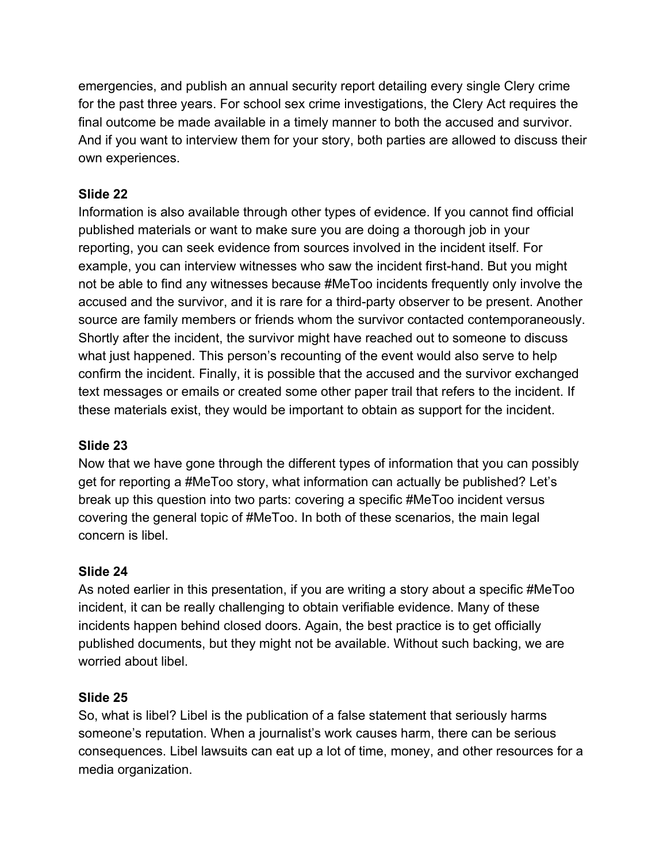emergencies, and publish an annual security report detailing every single Clery crime for the past three years. For school sex crime investigations, the Clery Act requires the final outcome be made available in a timely manner to both the accused and survivor. And if you want to interview them for your story, both parties are allowed to discuss their own experiences.

# **Slide 22**

Information is also available through other types of evidence. If you cannot find official published materials or want to make sure you are doing a thorough job in your reporting, you can seek evidence from sources involved in the incident itself. For example, you can interview witnesses who saw the incident first-hand. But you might not be able to find any witnesses because #MeToo incidents frequently only involve the accused and the survivor, and it is rare for a third-party observer to be present. Another source are family members or friends whom the survivor contacted contemporaneously. Shortly after the incident, the survivor might have reached out to someone to discuss what just happened. This person's recounting of the event would also serve to help confirm the incident. Finally, it is possible that the accused and the survivor exchanged text messages or emails or created some other paper trail that refers to the incident. If these materials exist, they would be important to obtain as support for the incident.

# **Slide 23**

Now that we have gone through the different types of information that you can possibly get for reporting a #MeToo story, what information can actually be published? Let's break up this question into two parts: covering a specific #MeToo incident versus covering the general topic of #MeToo. In both of these scenarios, the main legal concern is libel.

# **Slide 24**

As noted earlier in this presentation, if you are writing a story about a specific #MeToo incident, it can be really challenging to obtain verifiable evidence. Many of these incidents happen behind closed doors. Again, the best practice is to get officially published documents, but they might not be available. Without such backing, we are worried about libel.

## **Slide 25**

So, what is libel? Libel is the publication of a false statement that seriously harms someone's reputation. When a journalist's work causes harm, there can be serious consequences. Libel lawsuits can eat up a lot of time, money, and other resources for a media organization.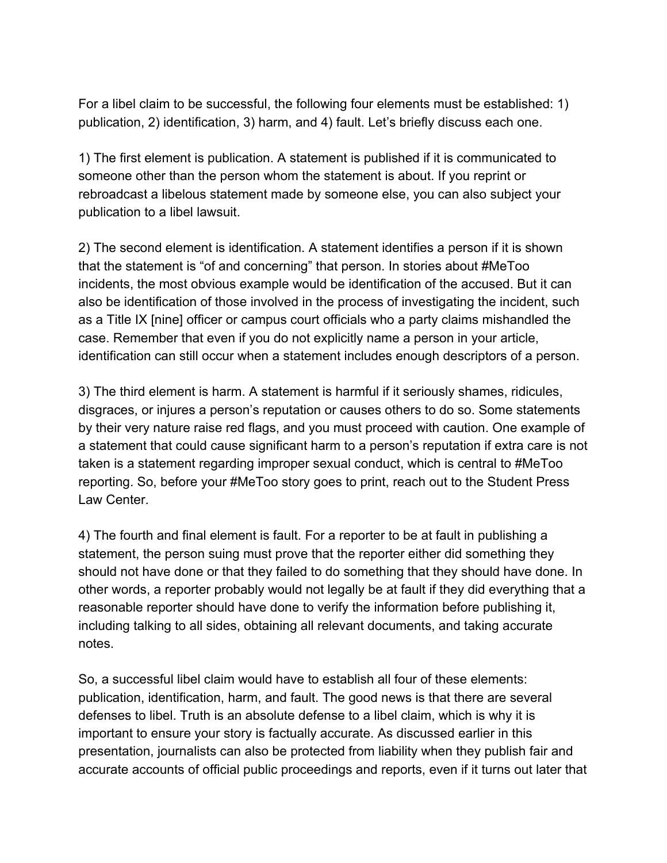For a libel claim to be successful, the following four elements must be established: 1) publication, 2) identification, 3) harm, and 4) fault. Let's briefly discuss each one.

1) The first element is publication. A statement is published if it is communicated to someone other than the person whom the statement is about. If you reprint or rebroadcast a libelous statement made by someone else, you can also subject your publication to a libel lawsuit.

2) The second element is identification. A statement identifies a person if it is shown that the statement is "of and concerning" that person. In stories about #MeToo incidents, the most obvious example would be identification of the accused. But it can also be identification of those involved in the process of investigating the incident, such as a Title IX [nine] officer or campus court officials who a party claims mishandled the case. Remember that even if you do not explicitly name a person in your article, identification can still occur when a statement includes enough descriptors of a person.

3) The third element is harm. A statement is harmful if it seriously shames, ridicules, disgraces, or injures a person's reputation or causes others to do so. Some statements by their very nature raise red flags, and you must proceed with caution. One example of a statement that could cause significant harm to a person's reputation if extra care is not taken is a statement regarding improper sexual conduct, which is central to #MeToo reporting. So, before your #MeToo story goes to print, reach out to the Student Press Law Center.

4) The fourth and final element is fault. For a reporter to be at fault in publishing a statement, the person suing must prove that the reporter either did something they should not have done or that they failed to do something that they should have done. In other words, a reporter probably would not legally be at fault if they did everything that a reasonable reporter should have done to verify the information before publishing it, including talking to all sides, obtaining all relevant documents, and taking accurate notes.

So, a successful libel claim would have to establish all four of these elements: publication, identification, harm, and fault. The good news is that there are several defenses to libel. Truth is an absolute defense to a libel claim, which is why it is important to ensure your story is factually accurate. As discussed earlier in this presentation, journalists can also be protected from liability when they publish fair and accurate accounts of official public proceedings and reports, even if it turns out later that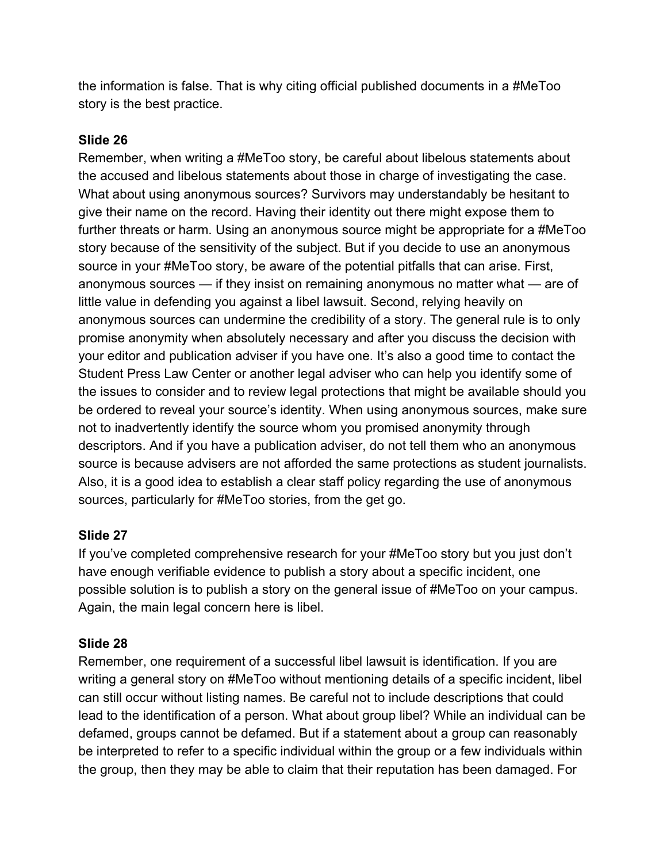the information is false. That is why citing official published documents in a #MeToo story is the best practice.

## **Slide 26**

Remember, when writing a #MeToo story, be careful about libelous statements about the accused and libelous statements about those in charge of investigating the case. What about using anonymous sources? Survivors may understandably be hesitant to give their name on the record. Having their identity out there might expose them to further threats or harm. Using an anonymous source might be appropriate for a #MeToo story because of the sensitivity of the subject. But if you decide to use an anonymous source in your #MeToo story, be aware of the potential pitfalls that can arise. First, anonymous sources — if they insist on remaining anonymous no matter what — are of little value in defending you against a libel lawsuit. Second, relying heavily on anonymous sources can undermine the credibility of a story. The general rule is to only promise anonymity when absolutely necessary and after you discuss the decision with your editor and publication adviser if you have one. It's also a good time to contact the Student Press Law Center or another legal adviser who can help you identify some of the issues to consider and to review legal protections that might be available should you be ordered to reveal your source's identity. When using anonymous sources, make sure not to inadvertently identify the source whom you promised anonymity through descriptors. And if you have a publication adviser, do not tell them who an anonymous source is because advisers are not afforded the same protections as student journalists. Also, it is a good idea to establish a clear staff policy regarding the use of anonymous sources, particularly for #MeToo stories, from the get go.

# **Slide 27**

If you've completed comprehensive research for your #MeToo story but you just don't have enough verifiable evidence to publish a story about a specific incident, one possible solution is to publish a story on the general issue of #MeToo on your campus. Again, the main legal concern here is libel.

# **Slide 28**

Remember, one requirement of a successful libel lawsuit is identification. If you are writing a general story on #MeToo without mentioning details of a specific incident, libel can still occur without listing names. Be careful not to include descriptions that could lead to the identification of a person. What about group libel? While an individual can be defamed, groups cannot be defamed. But if a statement about a group can reasonably be interpreted to refer to a specific individual within the group or a few individuals within the group, then they may be able to claim that their reputation has been damaged. For